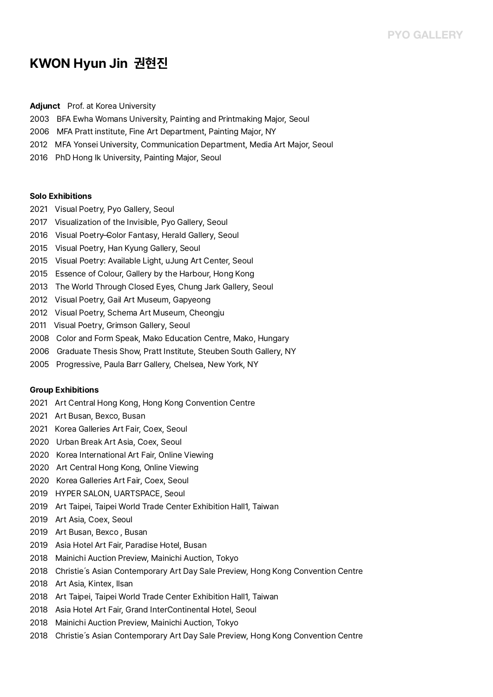# **KWON Hyun Jin 권현진**

### **Adjunct** Prof. at Korea University

- 2003 BFA Ewha Womans University, Painting and Printmaking Major, Seoul
- 2006 MFA Pratt institute, Fine Art Department, Painting Major, NY
- 2012 MFA Yonsei University, Communication Department, Media Art Major, Seoul
- 2016 PhD Hong Ik University, Painting Major, Seoul

### **Solo Exhibitions**

- 2021 Visual Poetry, Pyo Gallery, Seoul
- 2017 Visualization of the Invisible, Pyo Gallery, Seoul
- 2016 Visual Poetry-Color Fantasy, Herald Gallery, Seoul
- 2015 Visual Poetry, Han Kyung Gallery, Seoul
- 2015 Visual Poetry: Available Light, uJung Art Center, Seoul
- 2015 Essence of Colour, Gallery by the Harbour, Hong Kong
- 2013 The World Through Closed Eyes, Chung Jark Gallery, Seoul
- 2012 Visual Poetry, Gail Art Museum, Gapyeong
- 2012 Visual Poetry, Schema Art Museum, Cheongju
- 2011 Visual Poetry, Grimson Gallery, Seoul
- 2008 Color and Form Speak, Mako Education Centre, Mako, Hungary
- 2006 Graduate Thesis Show, Pratt Institute, Steuben South Gallery, NY
- 2005 Progressive, Paula Barr Gallery, Chelsea, New York, NY

#### **Group Exhibitions**

- 2021 Art Central Hong Kong, Hong Kong Convention Centre
- 2021 Art Busan, Bexco, Busan
- 2021 Korea Galleries Art Fair, Coex, Seoul
- 2020 Urban Break Art Asia, Coex, Seoul
- 2020 Korea International Art Fair, Online Viewing
- 2020 Art Central Hong Kong, Online Viewing
- 2020 Korea Galleries Art Fair, Coex, Seoul
- 2019 HYPER SALON, UARTSPACE, Seoul
- 2019 Art Taipei, Taipei World Trade Center Exhibition Hall1, Taiwan
- 2019 Art Asia, Coex, Seoul
- 2019 Art Busan, Bexco , Busan
- 2019 Asia Hotel Art Fair, Paradise Hotel, Busan
- 2018 Mainichi Auction Preview, Mainichi Auction, Tokyo
- 2018 Christie's Asian Contemporary Art Day Sale Preview, Hong Kong Convention Centre
- 2018 Art Asia, Kintex, Ilsan
- 2018 Art Taipei, Taipei World Trade Center Exhibition Hall1, Taiwan
- 2018 Asia Hotel Art Fair, Grand InterContinental Hotel, Seoul
- 2018 Mainichi Auction Preview, Mainichi Auction, Tokyo
- 2018 Christie's Asian Contemporary Art Day Sale Preview, Hong Kong Convention Centre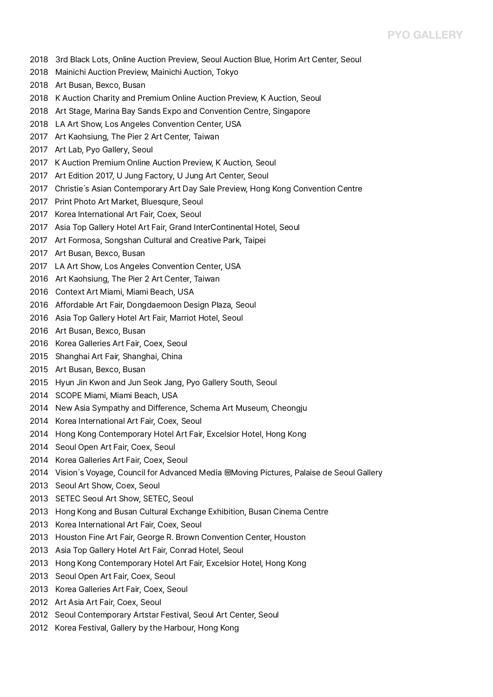## **PYO GALLERY**

- 2018 3rd Black Lots, Online Auction Preview, Seoul Auction Blue, Horim Art Center, Seoul
- 2018 Mainichi Auction Preview, Mainichi Auction, Tokyo
- 2018 Art Busan, Bexco, Busan
- 2018 K Auction Charity and Premium Online Auction Preview, K Auction, Seoul
- 2018 Art Stage, Marina Bay Sands Expo and Convention Centre, Singapore
- 2018 LA Art Show, Los Angeles Convention Center, USA
- 2017 Art Kaohsiung, The Pier 2 Art Center, Taiwan
- 2017 Art Lab, Pyo Gallery, Seoul
- 2017 K Auction Premium Online Auction Preview, K Auction, Seoul
- 2017 Art Edition 2017, U Jung Factory, U Jung Art Center, Seoul
- 2017 Christie's Asian Contemporary Art Day Sale Preview, Hong Kong Convention Centre
- 2017 Print Photo Art Market, Bluesqure, Seoul
- 2017 Korea International Art Fair, Coex, Seoul
- 2017 Asia Top Gallery Hotel Art Fair, Grand InterContinental Hotel, Seoul
- 2017 Art Formosa, Songshan Cultural and Creative Park, Taipei
- 2017 Art Busan, Bexco, Busan
- 2017 LA Art Show, Los Angeles Convention Center, USA
- 2016 Art Kaohsiung, The Pier 2 Art Center, Taiwan
- 2016 Context Art Miami, Miami Beach, USA
- 2016 Affordable Art Fair, Dongdaemoon Design Plaza, Seoul
- 2016 Asia Top Gallery Hotel Art Fair, Marriot Hotel, Seoul
- 2016 Art Busan, Bexco, Busan
- 2016 Korea Galleries Art Fair, Coex, Seoul
- 2015 Shanghai Art Fair, Shanghai, China
- 2015 Art Busan, Bexco, Busan
- 2015 Hyun Jin Kwon and Jun Seok Jang, Pyo Gallery South, Seoul
- 2014 SCOPE Miami, Miami Beach, USA
- 2014 New Asia Sympathy and Difference, Schema Art Museum, Cheongju
- 2014 Korea International Art Fair, Coex, Seoul
- 2014 Hong Kong Contemporary Hotel Art Fair, Excelsior Hotel, Hong Kong
- 2014 Seoul Open Art Fair, Coex, Seoul
- 2014 Korea Galleries Art Fair, Coex, Seoul
- 2014 Vision's Voyage, Council for Advanced Media Moving Pictures, Palaise de Seoul Gallery
- 2013 Seoul Art Show, Coex, Seoul
- 2013 SETEC Seoul Art Show, SETEC, Seoul
- 2013 Hong Kong and Busan Cultural Exchange Exhibition, Busan Cinema Centre
- 2013 Korea International Art Fair, Coex, Seoul
- 2013 Houston Fine Art Fair, George R. Brown Convention Center, Houston
- 2013 Asia Top Gallery Hotel Art Fair, Conrad Hotel, Seoul
- 2013 Hong Kong Contemporary Hotel Art Fair, Excelsior Hotel, Hong Kong
- 2013 Seoul Open Art Fair, Coex, Seoul
- 2013 Korea Galleries Art Fair, Coex, Seoul
- 2012 Art Asia Art Fair, Coex, Seoul
- 2012 Seoul Contemporary Artstar Festival, Seoul Art Center, Seoul
- 2012 Korea Festival, Gallery by the Harbour, Hong Kong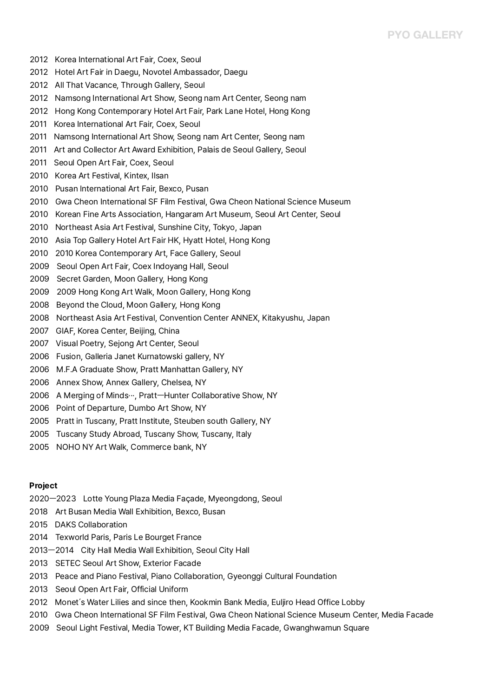## **PYO GALLERY**

- 2012 Korea International Art Fair, Coex, Seoul
- Hotel Art Fair in Daegu, Novotel Ambassador, Daegu
- All That Vacance, Through Gallery, Seoul
- 2012 Namsong International Art Show, Seong nam Art Center, Seong nam
- Hong Kong Contemporary Hotel Art Fair, Park Lane Hotel, Hong Kong
- 2011 Korea International Art Fair, Coex, Seoul
- Namsong International Art Show, Seong nam Art Center, Seong nam
- 2011 Art and Collector Art Award Exhibition, Palais de Seoul Gallery, Seoul
- Seoul Open Art Fair, Coex, Seoul
- Korea Art Festival, Kintex, Ilsan
- Pusan International Art Fair, Bexco, Pusan
- Gwa Cheon International SF Film Festival, Gwa Cheon National Science Museum
- Korean Fine Arts Association, Hangaram Art Museum, Seoul Art Center, Seoul
- 2010 Northeast Asia Art Festival, Sunshine City, Tokyo, Japan
- Asia Top Gallery Hotel Art Fair HK, Hyatt Hotel, Hong Kong
- 2010 2010 Korea Contemporary Art, Face Gallery, Seoul
- Seoul Open Art Fair, Coex Indoyang Hall, Seoul
- Secret Garden, Moon Gallery, Hong Kong
- 2009 Hong Kong Art Walk, Moon Gallery, Hong Kong
- Beyond the Cloud, Moon Gallery, Hong Kong
- 2008 Northeast Asia Art Festival, Convention Center ANNEX, Kitakyushu, Japan
- GIAF, Korea Center, Beijing, China
- Visual Poetry, Sejong Art Center, Seoul
- Fusion, Galleria Janet Kurnatowski gallery, NY
- M.F.A Graduate Show, Pratt Manhattan Gallery, NY
- Annex Show, Annex Gallery, Chelsea, NY
- 2006 A Merging of Minds…, Pratt-Hunter Collaborative Show, NY
- Point of Departure, Dumbo Art Show, NY
- Pratt in Tuscany, Pratt Institute, Steuben south Gallery, NY
- Tuscany Study Abroad, Tuscany Show, Tuscany, Italy
- NOHO NY Art Walk, Commerce bank, NY

#### **Project**

- 2020ㅡ2023 Lotte Young Plaza Media Façade, Myeongdong, Seoul
- Art Busan Media Wall Exhibition, Bexco, Busan
- DAKS Collaboration
- Texworld Paris, Paris Le Bourget France
- 2013ㅡ2014 City Hall Media Wall Exhibition, Seoul City Hall
- SETEC Seoul Art Show, Exterior Facade
- Peace and Piano Festival, Piano Collaboration, Gyeonggi Cultural Foundation
- Seoul Open Art Fair, Official Uniform
- 2012 Monet's Water Lilies and since then, Kookmin Bank Media, Euljiro Head Office Lobby
- 2010 Gwa Cheon International SF Film Festival, Gwa Cheon National Science Museum Center, Media Facade
- 2009 Seoul Light Festival, Media Tower, KT Building Media Facade, Gwanghwamun Square